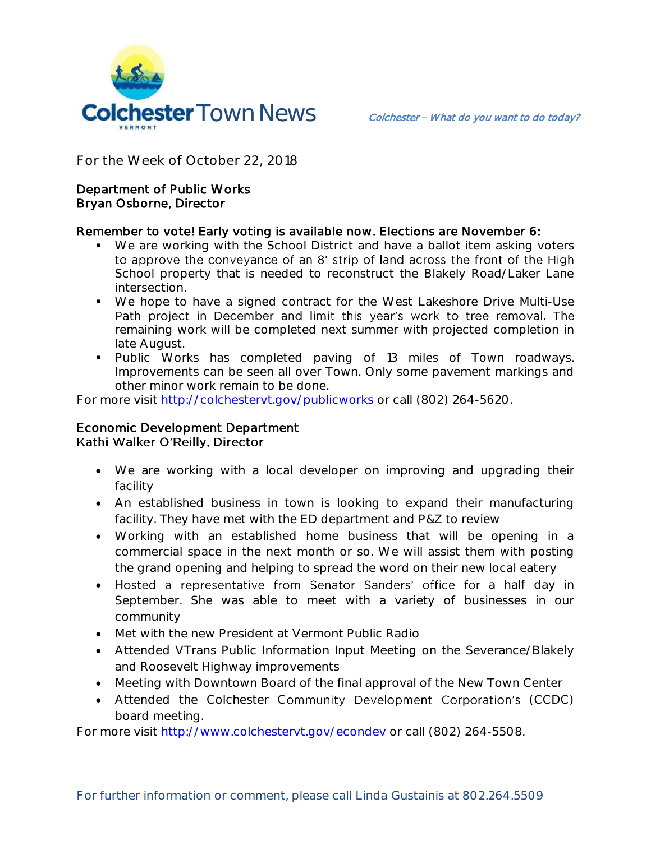

**For the Week of October 22, 2018**

#### Department of Public Works Bryan Osborne, Director

#### Remember to vote! Early voting is available now. Elections are November 6:

- We are working with the School District and have a ballot item asking voters to approve the conveyance of an 8' strip of land across the front of the High School property that is needed to reconstruct the Blakely Road/Laker Lane intersection.
- We hope to have a signed contract for the West Lakeshore Drive Multi-Use Path project in December and limit this year's work to tree removal. The remaining work will be completed next summer with projected completion in late August.
- **Public Works has completed paving of 13 miles of Town roadways.** Improvements can be seen all over Town. Only some pavement markings and other minor work remain to be done.

For more visit<http://colchestervt.gov/publicworks> or call (802) 264-5620.

# Economic Development Department Kathi Walker O'Reilly, Director

- We are working with a local developer on improving and upgrading their facility
- An established business in town is looking to expand their manufacturing facility. They have met with the ED department and P&Z to review
- Working with an established home business that will be opening in a commercial space in the next month or so. We will assist them with posting the grand opening and helping to spread the word on their new local eatery
- Hosted a representative from Senator Sanders' office for a half day in September. She was able to meet with a variety of businesses in our community
- Met with the new President at Vermont Public Radio
- Attended VTrans Public Information Input Meeting on the Severance/Blakely and Roosevelt Highway improvements
- Meeting with Downtown Board of the final approval of the New Town Center
- Attended the Colchester Community Development Corporation's (CCDC) board meeting.

For more visit [http://www.colchestervt.gov/e](http://www.colchestervt.gov/)condev or call (802) 264-5508.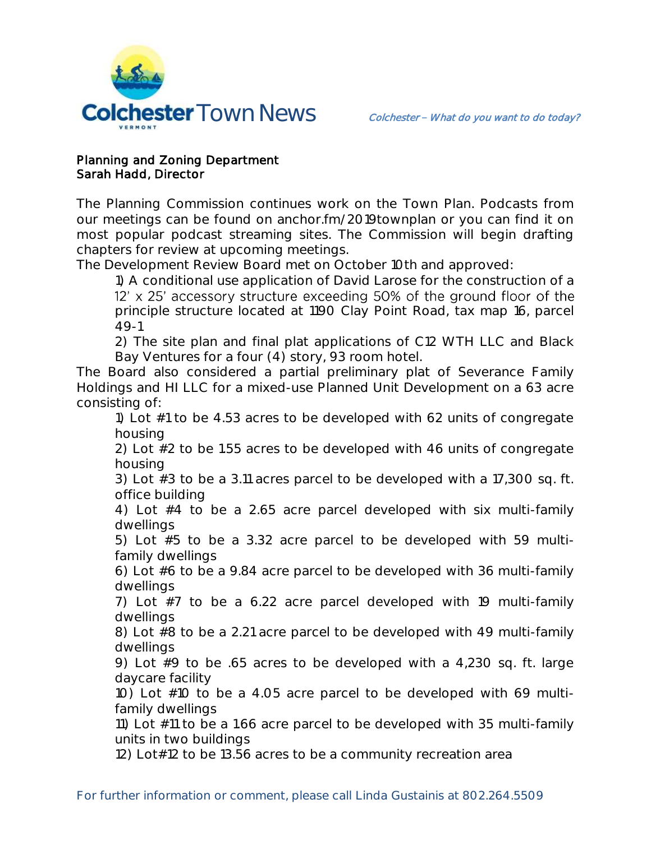

### Planning and Zoning Department Sarah Hadd, Director

The Planning Commission continues work on the Town Plan. Podcasts from our meetings can be found on anchor.fm/2019townplan or you can find it on most popular podcast streaming sites. The Commission will begin drafting chapters for review at upcoming meetings.

The Development Review Board met on October 10th and approved:

1) A conditional use application of David Larose for the construction of a 12' x 25' accessory structure exceeding 50% of the ground floor of the principle structure located at 1190 Clay Point Road, tax map 16, parcel 49-1

2) The site plan and final plat applications of C12 WTH LLC and Black Bay Ventures for a four (4) story, 93 room hotel.

The Board also considered a partial preliminary plat of Severance Family Holdings and HI LLC for a mixed-use Planned Unit Development on a 63 acre consisting of:

1) Lot #1 to be 4.53 acres to be developed with 62 units of congregate housing

2) Lot #2 to be 1.55 acres to be developed with 46 units of congregate housing

3) Lot #3 to be a 3.11 acres parcel to be developed with a 17,300 sq. ft. office building

4) Lot #4 to be a 2.65 acre parcel developed with six multi-family dwellings

5) Lot #5 to be a 3.32 acre parcel to be developed with 59 multifamily dwellings

6) Lot #6 to be a 9.84 acre parcel to be developed with 36 multi-family dwellings

7) Lot #7 to be a 6.22 acre parcel developed with 19 multi-family dwellings

8) Lot #8 to be a 2.21 acre parcel to be developed with 49 multi-family dwellings

9) Lot #9 to be .65 acres to be developed with a 4,230 sq. ft. large daycare facility

10) Lot #10 to be a 4.05 acre parcel to be developed with 69 multifamily dwellings

11) Lot #11 to be a 1.66 acre parcel to be developed with 35 multi-family units in two buildings

12) Lot#12 to be 13.56 acres to be a community recreation area